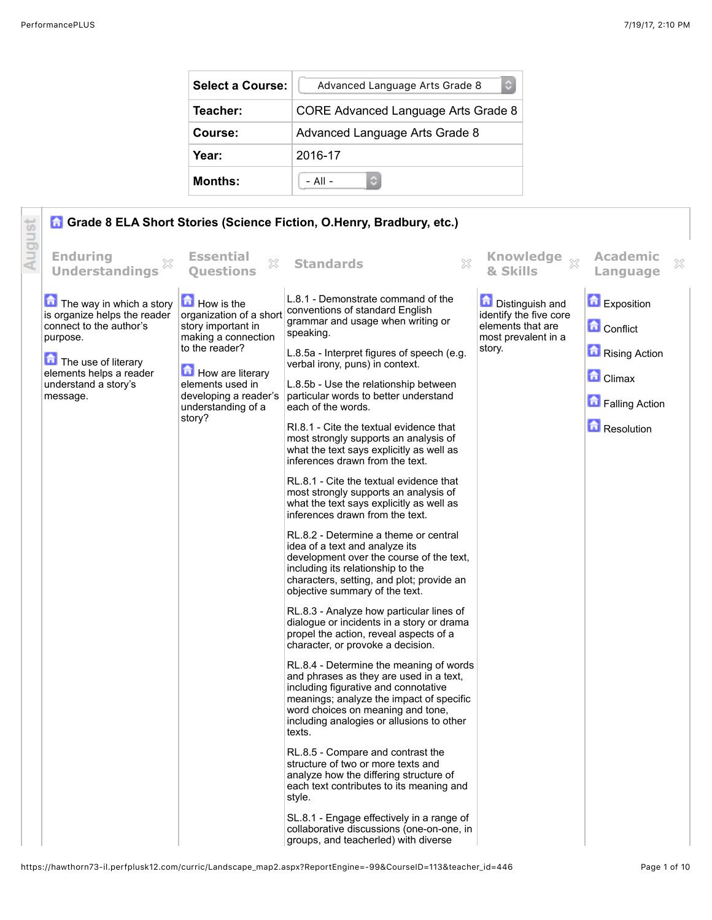| <b>Select a Course:</b> | Advanced Language Arts Grade 8<br>¢ |  |  |  |  |
|-------------------------|-------------------------------------|--|--|--|--|
| Teacher:                | CORE Advanced Language Arts Grade 8 |  |  |  |  |
| Course:                 | Advanced Language Arts Grade 8      |  |  |  |  |
| Year:                   | 2016-17                             |  |  |  |  |
| <b>Months:</b>          | $-$ All $-$                         |  |  |  |  |

|        |                                                                                                                                                                                       |                                                                                                                                                                                                       | Grade 8 ELA Short Stories (Science Fiction, O.Henry, Bradbury, etc.)                                                                                                                                                                                                                                                                                                                                                                                                                                                                                                                                                                                                                                                                                                                                                                                                                                                                                                                                                                                                                                                                                                                                                                                                                                                                                                                                                                                                                                                                                                                                                                                         |                                                                                                        |                                                                                                          |   |
|--------|---------------------------------------------------------------------------------------------------------------------------------------------------------------------------------------|-------------------------------------------------------------------------------------------------------------------------------------------------------------------------------------------------------|--------------------------------------------------------------------------------------------------------------------------------------------------------------------------------------------------------------------------------------------------------------------------------------------------------------------------------------------------------------------------------------------------------------------------------------------------------------------------------------------------------------------------------------------------------------------------------------------------------------------------------------------------------------------------------------------------------------------------------------------------------------------------------------------------------------------------------------------------------------------------------------------------------------------------------------------------------------------------------------------------------------------------------------------------------------------------------------------------------------------------------------------------------------------------------------------------------------------------------------------------------------------------------------------------------------------------------------------------------------------------------------------------------------------------------------------------------------------------------------------------------------------------------------------------------------------------------------------------------------------------------------------------------------|--------------------------------------------------------------------------------------------------------|----------------------------------------------------------------------------------------------------------|---|
| August | <b>Enduring</b><br><b>Understandings</b>                                                                                                                                              | <b>Essential</b><br>X<br><b>Ouestions</b>                                                                                                                                                             | $\mathbb{X}$<br><b>Standards</b>                                                                                                                                                                                                                                                                                                                                                                                                                                                                                                                                                                                                                                                                                                                                                                                                                                                                                                                                                                                                                                                                                                                                                                                                                                                                                                                                                                                                                                                                                                                                                                                                                             | Knowledge xx<br>& Skills                                                                               | <b>Academic</b><br>Language                                                                              | X |
|        | The way in which a story<br>is organize helps the reader<br>connect to the author's<br>purpose.<br>The use of literary<br>elements helps a reader<br>understand a story's<br>message. | How is the<br>organization of a short<br>story important in<br>making a connection<br>to the reader?<br>How are literary<br>elements used in<br>developing a reader's<br>understanding of a<br>story? | L.8.1 - Demonstrate command of the<br>conventions of standard English<br>grammar and usage when writing or<br>speaking.<br>L.8.5a - Interpret figures of speech (e.g.<br>verbal irony, puns) in context.<br>L.8.5b - Use the relationship between<br>particular words to better understand<br>each of the words.<br>RI.8.1 - Cite the textual evidence that<br>most strongly supports an analysis of<br>what the text says explicitly as well as<br>inferences drawn from the text.<br>RL.8.1 - Cite the textual evidence that<br>most strongly supports an analysis of<br>what the text says explicitly as well as<br>inferences drawn from the text.<br>RL.8.2 - Determine a theme or central<br>idea of a text and analyze its<br>development over the course of the text,<br>including its relationship to the<br>characters, setting, and plot; provide an<br>objective summary of the text.<br>RL.8.3 - Analyze how particular lines of<br>dialogue or incidents in a story or drama<br>propel the action, reveal aspects of a<br>character, or provoke a decision.<br>RL.8.4 - Determine the meaning of words<br>and phrases as they are used in a text,<br>including figurative and connotative<br>meanings; analyze the impact of specific<br>word choices on meaning and tone,<br>including analogies or allusions to other<br>texts.<br>RL.8.5 - Compare and contrast the<br>structure of two or more texts and<br>analyze how the differing structure of<br>each text contributes to its meaning and<br>style.<br>SL.8.1 - Engage effectively in a range of<br>collaborative discussions (one-on-one, in<br>groups, and teacherled) with diverse | <b>Distinguish and</b><br>identify the five core<br>elements that are<br>most prevalent in a<br>story. | Exposition<br><b>Conflict</b><br>Rising Action<br><b>Climax</b><br><b>D</b> Falling Action<br>Resolution |   |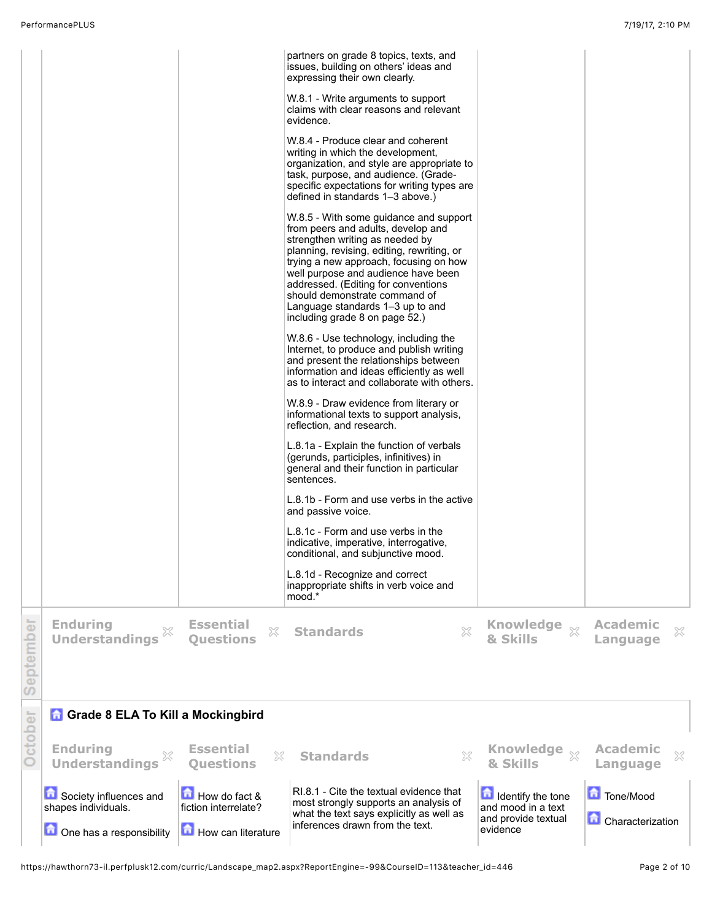|           |                                                                           |                                                             | partners on grade 8 topics, texts, and<br>issues, building on others' ideas and<br>expressing their own clearly.<br>W.8.1 - Write arguments to support<br>claims with clear reasons and relevant<br>evidence.<br>W.8.4 - Produce clear and coherent<br>writing in which the development,<br>organization, and style are appropriate to<br>task, purpose, and audience. (Grade-<br>specific expectations for writing types are<br>defined in standards 1-3 above.)<br>W.8.5 - With some guidance and support<br>from peers and adults, develop and<br>strengthen writing as needed by<br>planning, revising, editing, rewriting, or<br>trying a new approach, focusing on how<br>well purpose and audience have been<br>addressed. (Editing for conventions<br>should demonstrate command of<br>Language standards 1–3 up to and<br>including grade 8 on page 52.)<br>W.8.6 - Use technology, including the<br>Internet, to produce and publish writing<br>and present the relationships between<br>information and ideas efficiently as well<br>as to interact and collaborate with others.<br>W.8.9 - Draw evidence from literary or<br>informational texts to support analysis,<br>reflection, and research.<br>L.8.1a - Explain the function of verbals<br>(gerunds, participles, infinitives) in<br>general and their function in particular<br>sentences.<br>L.8.1b - Form and use verbs in the active<br>and passive voice.<br>L.8.1c - Form and use verbs in the<br>indicative, imperative, interrogative,<br>conditional, and subjunctive mood.<br>L.8.1d - Recognize and correct<br>inappropriate shifts in verb voice and<br>mood.* |                                                                                      |                                      |  |
|-----------|---------------------------------------------------------------------------|-------------------------------------------------------------|-----------------------------------------------------------------------------------------------------------------------------------------------------------------------------------------------------------------------------------------------------------------------------------------------------------------------------------------------------------------------------------------------------------------------------------------------------------------------------------------------------------------------------------------------------------------------------------------------------------------------------------------------------------------------------------------------------------------------------------------------------------------------------------------------------------------------------------------------------------------------------------------------------------------------------------------------------------------------------------------------------------------------------------------------------------------------------------------------------------------------------------------------------------------------------------------------------------------------------------------------------------------------------------------------------------------------------------------------------------------------------------------------------------------------------------------------------------------------------------------------------------------------------------------------------------------------------------------------------------------------------------------------|--------------------------------------------------------------------------------------|--------------------------------------|--|
| September | <b>Enduring</b><br><b>Understandings</b>                                  | <b>Essential</b><br>×<br><b>Ouestions</b>                   | <b>Standards</b><br>×                                                                                                                                                                                                                                                                                                                                                                                                                                                                                                                                                                                                                                                                                                                                                                                                                                                                                                                                                                                                                                                                                                                                                                                                                                                                                                                                                                                                                                                                                                                                                                                                                         | Knowledge xx<br>& Skills                                                             | <b>Academic</b><br>×<br>Language     |  |
|           | <b>A</b> Grade 8 ELA To Kill a Mockingbird                                |                                                             |                                                                                                                                                                                                                                                                                                                                                                                                                                                                                                                                                                                                                                                                                                                                                                                                                                                                                                                                                                                                                                                                                                                                                                                                                                                                                                                                                                                                                                                                                                                                                                                                                                               |                                                                                      |                                      |  |
| October   | <b>Enduring</b><br><b>Understandings</b>                                  | <b>Essential</b><br>X<br><b>Questions</b>                   | X<br><b>Standards</b>                                                                                                                                                                                                                                                                                                                                                                                                                                                                                                                                                                                                                                                                                                                                                                                                                                                                                                                                                                                                                                                                                                                                                                                                                                                                                                                                                                                                                                                                                                                                                                                                                         | Knowledge xx<br>& Skills                                                             | <b>Academic</b><br>X<br>Language     |  |
|           | Society influences and<br>shapes individuals.<br>One has a responsibility | How do fact &<br>fiction interrelate?<br>How can literature | RI.8.1 - Cite the textual evidence that<br>most strongly supports an analysis of<br>what the text says explicitly as well as<br>inferences drawn from the text.                                                                                                                                                                                                                                                                                                                                                                                                                                                                                                                                                                                                                                                                                                                                                                                                                                                                                                                                                                                                                                                                                                                                                                                                                                                                                                                                                                                                                                                                               | <b>In Identify the tone</b><br>and mood in a text<br>and provide textual<br>evidence | Tone/Mood<br><b>Characterization</b> |  |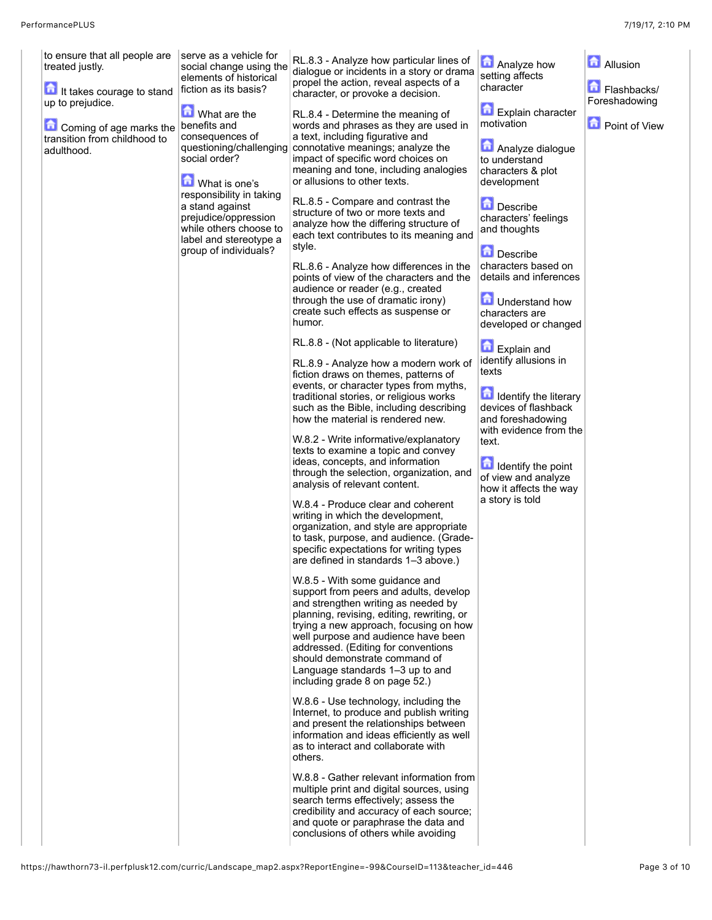| to ensure that all people are<br>treated justly.<br>It takes courage to stand<br>up to prejudice.<br>Coming of age marks the<br>transition from childhood to<br>adulthood. | serve as a vehicle for<br>social change using the<br>elements of historical<br>fiction as its basis?<br><b>M</b> What are the<br>benefits and<br>consequences of<br>questioning/challenging<br>social order?<br>What is one's<br>responsibility in taking<br>a stand against<br>prejudice/oppression<br>while others choose to<br>label and stereotype a<br>group of individuals? | RL.8.3 - Analyze how particular lines of<br>dialogue or incidents in a story or drama<br>propel the action, reveal aspects of a<br>character, or provoke a decision.<br>RL.8.4 - Determine the meaning of<br>words and phrases as they are used in<br>a text, including figurative and<br>connotative meanings; analyze the<br>impact of specific word choices on<br>meaning and tone, including analogies<br>or allusions to other texts.<br>RL.8.5 - Compare and contrast the<br>structure of two or more texts and<br>analyze how the differing structure of<br>each text contributes to its meaning and<br>style.<br>RL.8.6 - Analyze how differences in the<br>points of view of the characters and the<br>audience or reader (e.g., created<br>through the use of dramatic irony)<br>create such effects as suspense or<br>humor.<br>RL.8.8 - (Not applicable to literature)<br>RL.8.9 - Analyze how a modern work of<br>fiction draws on themes, patterns of<br>events, or character types from myths,<br>traditional stories, or religious works<br>such as the Bible, including describing<br>how the material is rendered new.<br>W.8.2 - Write informative/explanatory<br>texts to examine a topic and convey<br>ideas, concepts, and information<br>through the selection, organization, and<br>analysis of relevant content.<br>W.8.4 - Produce clear and coherent<br>writing in which the development,<br>organization, and style are appropriate<br>to task, purpose, and audience. (Grade-<br>specific expectations for writing types<br>are defined in standards 1-3 above.)<br>W.8.5 - With some guidance and<br>support from peers and adults, develop<br>and strengthen writing as needed by<br>planning, revising, editing, rewriting, or<br>trying a new approach, focusing on how<br>well purpose and audience have been<br>addressed. (Editing for conventions<br>should demonstrate command of<br>Language standards 1-3 up to and | Analyze how<br>setting affects<br>character<br><b>Explain character</b><br>motivation<br>Analyze dialogue<br>to understand<br>characters & plot<br>development<br>Describe<br>characters' feelings<br>and thoughts<br>Describe<br>characters based on<br>details and inferences<br><b>D</b> Understand how<br>characters are<br>developed or changed<br>Explain and<br>identify allusions in<br>texts<br>Identify the literary<br>devices of flashback<br>and foreshadowing<br>with evidence from the<br>text.<br><b>Identify the point</b><br>of view and analyze<br>how it affects the way<br>a story is told | <b>Allusion</b><br>Flashbacks/<br>Foreshadowing<br>Point of View |
|----------------------------------------------------------------------------------------------------------------------------------------------------------------------------|-----------------------------------------------------------------------------------------------------------------------------------------------------------------------------------------------------------------------------------------------------------------------------------------------------------------------------------------------------------------------------------|-------------------------------------------------------------------------------------------------------------------------------------------------------------------------------------------------------------------------------------------------------------------------------------------------------------------------------------------------------------------------------------------------------------------------------------------------------------------------------------------------------------------------------------------------------------------------------------------------------------------------------------------------------------------------------------------------------------------------------------------------------------------------------------------------------------------------------------------------------------------------------------------------------------------------------------------------------------------------------------------------------------------------------------------------------------------------------------------------------------------------------------------------------------------------------------------------------------------------------------------------------------------------------------------------------------------------------------------------------------------------------------------------------------------------------------------------------------------------------------------------------------------------------------------------------------------------------------------------------------------------------------------------------------------------------------------------------------------------------------------------------------------------------------------------------------------------------------------------------------------------------------------------------------------------------------------------------------|-----------------------------------------------------------------------------------------------------------------------------------------------------------------------------------------------------------------------------------------------------------------------------------------------------------------------------------------------------------------------------------------------------------------------------------------------------------------------------------------------------------------------------------------------------------------------------------------------------------------|------------------------------------------------------------------|
|                                                                                                                                                                            |                                                                                                                                                                                                                                                                                                                                                                                   | including grade 8 on page 52.)                                                                                                                                                                                                                                                                                                                                                                                                                                                                                                                                                                                                                                                                                                                                                                                                                                                                                                                                                                                                                                                                                                                                                                                                                                                                                                                                                                                                                                                                                                                                                                                                                                                                                                                                                                                                                                                                                                                              |                                                                                                                                                                                                                                                                                                                                                                                                                                                                                                                                                                                                                 |                                                                  |
|                                                                                                                                                                            |                                                                                                                                                                                                                                                                                                                                                                                   | W.8.6 - Use technology, including the<br>Internet, to produce and publish writing<br>and present the relationships between<br>information and ideas efficiently as well<br>as to interact and collaborate with<br>others.<br>W.8.8 - Gather relevant information from<br>multiple print and digital sources, using<br>search terms effectively; assess the<br>credibility and accuracy of each source;<br>and quote or paraphrase the data and                                                                                                                                                                                                                                                                                                                                                                                                                                                                                                                                                                                                                                                                                                                                                                                                                                                                                                                                                                                                                                                                                                                                                                                                                                                                                                                                                                                                                                                                                                              |                                                                                                                                                                                                                                                                                                                                                                                                                                                                                                                                                                                                                 |                                                                  |
|                                                                                                                                                                            |                                                                                                                                                                                                                                                                                                                                                                                   | conclusions of others while avoiding                                                                                                                                                                                                                                                                                                                                                                                                                                                                                                                                                                                                                                                                                                                                                                                                                                                                                                                                                                                                                                                                                                                                                                                                                                                                                                                                                                                                                                                                                                                                                                                                                                                                                                                                                                                                                                                                                                                        |                                                                                                                                                                                                                                                                                                                                                                                                                                                                                                                                                                                                                 |                                                                  |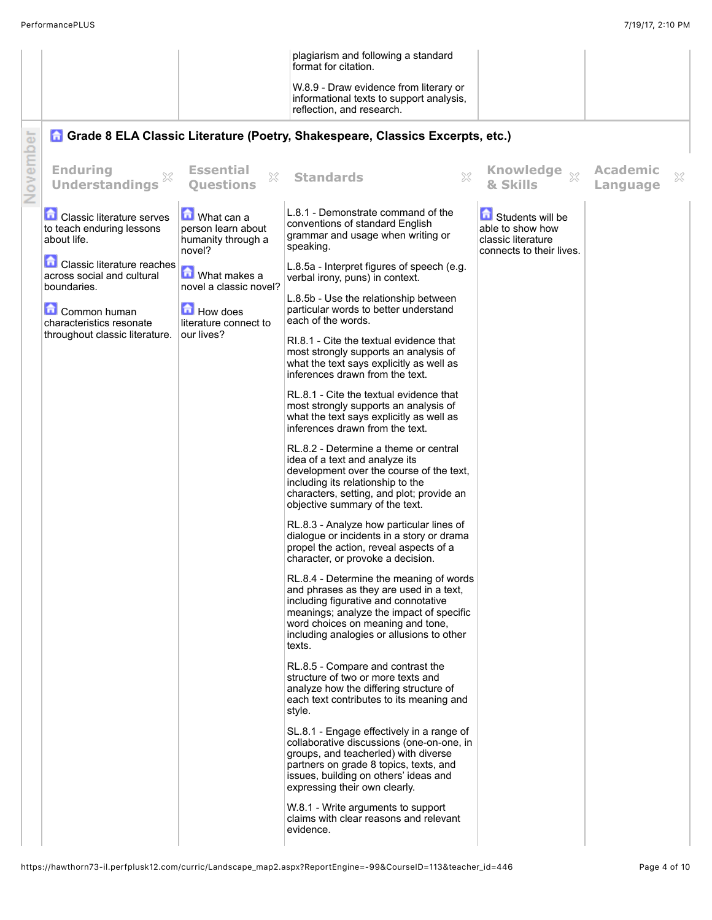|          |                                                                              |                                                                  | plagiarism and following a standard<br>format for citation.                                                                                                                                                                                                        |                                                                                        |                             |   |
|----------|------------------------------------------------------------------------------|------------------------------------------------------------------|--------------------------------------------------------------------------------------------------------------------------------------------------------------------------------------------------------------------------------------------------------------------|----------------------------------------------------------------------------------------|-----------------------------|---|
|          |                                                                              |                                                                  | W.8.9 - Draw evidence from literary or<br>informational texts to support analysis,<br>reflection, and research.                                                                                                                                                    |                                                                                        |                             |   |
|          |                                                                              |                                                                  | <b>A Grade 8 ELA Classic Literature (Poetry, Shakespeare, Classics Excerpts, etc.)</b>                                                                                                                                                                             |                                                                                        |                             |   |
| November | <b>Enduring</b><br><b>Understandings</b>                                     | <b>Essential</b><br>X<br><b>Ouestions</b>                        | <b>Standards</b><br>X                                                                                                                                                                                                                                              | Knowledge xx<br>& Skills                                                               | <b>Academic</b><br>Language | × |
|          | <b>Classic literature serves</b><br>to teach enduring lessons<br>about life. | What can a<br>person learn about<br>humanity through a<br>novel? | L.8.1 - Demonstrate command of the<br>conventions of standard English<br>grammar and usage when writing or<br>speaking.                                                                                                                                            | Students will be<br>able to show how<br>classic literature<br>connects to their lives. |                             |   |
|          | 鱼<br>Classic literature reaches<br>across social and cultural<br>boundaries. | $\boxed{\bullet}$ What makes a<br>novel a classic novel?         | L.8.5a - Interpret figures of speech (e.g.<br>verbal irony, puns) in context.                                                                                                                                                                                      |                                                                                        |                             |   |
|          | Common human<br>characteristics resonate                                     | How does<br>literature connect to                                | L.8.5b - Use the relationship between<br>particular words to better understand<br>each of the words.                                                                                                                                                               |                                                                                        |                             |   |
|          | throughout classic literature.                                               | our lives?                                                       | RI.8.1 - Cite the textual evidence that<br>most strongly supports an analysis of<br>what the text says explicitly as well as<br>inferences drawn from the text.                                                                                                    |                                                                                        |                             |   |
|          |                                                                              |                                                                  | RL.8.1 - Cite the textual evidence that<br>most strongly supports an analysis of<br>what the text says explicitly as well as<br>inferences drawn from the text.                                                                                                    |                                                                                        |                             |   |
|          |                                                                              |                                                                  | RL.8.2 - Determine a theme or central<br>idea of a text and analyze its<br>development over the course of the text,<br>including its relationship to the<br>characters, setting, and plot; provide an<br>objective summary of the text.                            |                                                                                        |                             |   |
|          |                                                                              |                                                                  | RL.8.3 - Analyze how particular lines of<br>dialogue or incidents in a story or drama<br>propel the action, reveal aspects of a<br>character, or provoke a decision.                                                                                               |                                                                                        |                             |   |
|          |                                                                              |                                                                  | RL.8.4 - Determine the meaning of words<br>and phrases as they are used in a text,<br>including figurative and connotative<br>meanings; analyze the impact of specific<br>word choices on meaning and tone,<br>including analogies or allusions to other<br>texts. |                                                                                        |                             |   |
|          |                                                                              |                                                                  | RL.8.5 - Compare and contrast the<br>structure of two or more texts and<br>analyze how the differing structure of<br>each text contributes to its meaning and<br>style.                                                                                            |                                                                                        |                             |   |
|          |                                                                              |                                                                  | SL.8.1 - Engage effectively in a range of<br>collaborative discussions (one-on-one, in<br>groups, and teacherled) with diverse<br>partners on grade 8 topics, texts, and<br>issues, building on others' ideas and<br>expressing their own clearly.                 |                                                                                        |                             |   |
|          |                                                                              |                                                                  | W.8.1 - Write arguments to support<br>claims with clear reasons and relevant<br>evidence.                                                                                                                                                                          |                                                                                        |                             |   |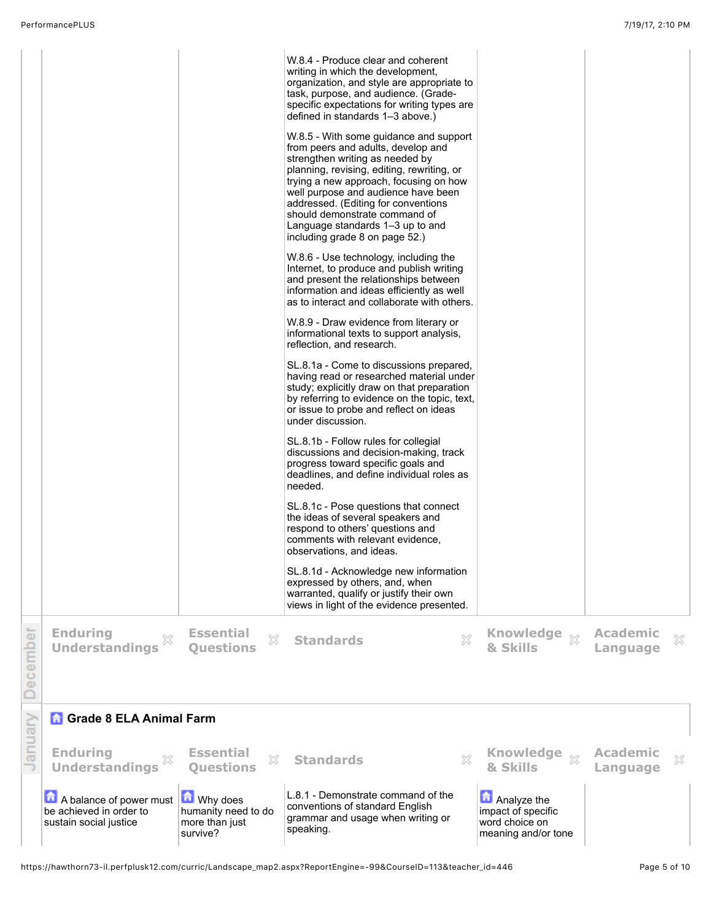|          | <b>Enduring</b><br><b>Understandings</b>                                     | <b>Essential</b><br>×<br><b>Questions</b>                              | W.8.4 - Produce clear and coherent<br>writing in which the development,<br>organization, and style are appropriate to<br>task, purpose, and audience. (Grade-<br>specific expectations for writing types are<br>defined in standards 1-3 above.)<br>W.8.5 - With some guidance and support<br>from peers and adults, develop and<br>strengthen writing as needed by<br>planning, revising, editing, rewriting, or<br>trying a new approach, focusing on how<br>well purpose and audience have been<br>addressed. (Editing for conventions<br>should demonstrate command of<br>Language standards 1–3 up to and<br>including grade 8 on page 52.)<br>W.8.6 - Use technology, including the<br>Internet, to produce and publish writing<br>and present the relationships between<br>information and ideas efficiently as well<br>as to interact and collaborate with others.<br>W.8.9 - Draw evidence from literary or<br>informational texts to support analysis,<br>reflection, and research.<br>SL.8.1a - Come to discussions prepared,<br>having read or researched material under<br>study; explicitly draw on that preparation<br>by referring to evidence on the topic, text,<br>or issue to probe and reflect on ideas<br>under discussion.<br>SL.8.1b - Follow rules for collegial<br>discussions and decision-making, track<br>progress toward specific goals and<br>deadlines, and define individual roles as<br>needed.<br>SL.8.1c - Pose questions that connect<br>the ideas of several speakers and<br>respond to others' questions and<br>comments with relevant evidence,<br>observations, and ideas.<br>SL.8.1d - Acknowledge new information<br>expressed by others, and, when<br>warranted, qualify or justify their own<br>views in light of the evidence presented.<br>$\boldsymbol{\mathbb{X}}$<br><b>Standards</b> | <b>Knowledge</b><br>$\chi$<br>& Skills                                     | <b>Academic</b><br>Language | X |
|----------|------------------------------------------------------------------------------|------------------------------------------------------------------------|-----------------------------------------------------------------------------------------------------------------------------------------------------------------------------------------------------------------------------------------------------------------------------------------------------------------------------------------------------------------------------------------------------------------------------------------------------------------------------------------------------------------------------------------------------------------------------------------------------------------------------------------------------------------------------------------------------------------------------------------------------------------------------------------------------------------------------------------------------------------------------------------------------------------------------------------------------------------------------------------------------------------------------------------------------------------------------------------------------------------------------------------------------------------------------------------------------------------------------------------------------------------------------------------------------------------------------------------------------------------------------------------------------------------------------------------------------------------------------------------------------------------------------------------------------------------------------------------------------------------------------------------------------------------------------------------------------------------------------------------------------------------------------------------------------------------------------------------|----------------------------------------------------------------------------|-----------------------------|---|
| December |                                                                              |                                                                        |                                                                                                                                                                                                                                                                                                                                                                                                                                                                                                                                                                                                                                                                                                                                                                                                                                                                                                                                                                                                                                                                                                                                                                                                                                                                                                                                                                                                                                                                                                                                                                                                                                                                                                                                                                                                                                         |                                                                            |                             |   |
|          | <b>n</b> Grade 8 ELA Animal Farm                                             |                                                                        |                                                                                                                                                                                                                                                                                                                                                                                                                                                                                                                                                                                                                                                                                                                                                                                                                                                                                                                                                                                                                                                                                                                                                                                                                                                                                                                                                                                                                                                                                                                                                                                                                                                                                                                                                                                                                                         |                                                                            |                             |   |
| January  | <b>Enduring</b><br><b>Understandings</b>                                     | <b>Essential</b><br>$\mathbb{X}$<br><b>Questions</b>                   | X<br><b>Standards</b>                                                                                                                                                                                                                                                                                                                                                                                                                                                                                                                                                                                                                                                                                                                                                                                                                                                                                                                                                                                                                                                                                                                                                                                                                                                                                                                                                                                                                                                                                                                                                                                                                                                                                                                                                                                                                   | <b>Knowledge</b><br>$\chi$<br>& Skills                                     | <b>Academic</b><br>Language | × |
|          | A balance of power must<br>be achieved in order to<br>sustain social justice | <b>M</b> Why does<br>humanity need to do<br>more than just<br>survive? | L.8.1 - Demonstrate command of the<br>conventions of standard English<br>grammar and usage when writing or<br>speaking.                                                                                                                                                                                                                                                                                                                                                                                                                                                                                                                                                                                                                                                                                                                                                                                                                                                                                                                                                                                                                                                                                                                                                                                                                                                                                                                                                                                                                                                                                                                                                                                                                                                                                                                 | Analyze the<br>impact of specific<br>word choice on<br>meaning and/or tone |                             |   |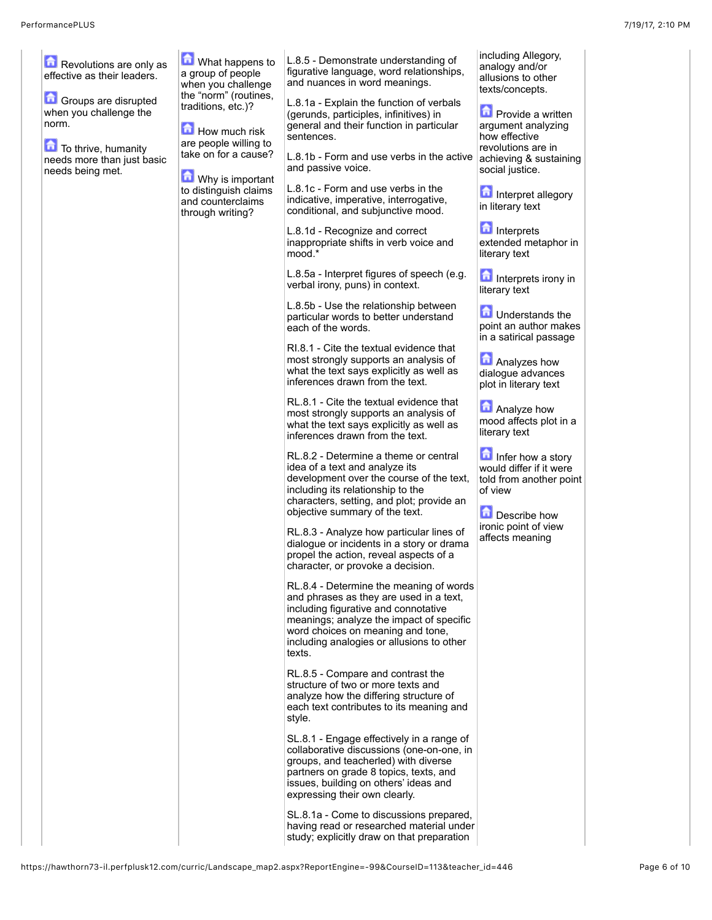| Revolutions are only as<br>effective as their leaders.<br>Groups are disrupted<br>when you challenge the<br>norm.<br>To thrive, humanity<br>needs more than just basic<br>needs being met. | What happens to<br>a group of people<br>when you challenge<br>the "norm" (routines,<br>traditions, etc.)?<br><b>How much risk</b><br>are people willing to<br>take on for a cause?<br>Why is important | L.8.5 - Demonstrate understanding of<br>figurative language, word relationships,<br>and nuances in word meanings.<br>L.8.1a - Explain the function of verbals<br>(gerunds, participles, infinitives) in<br>general and their function in particular<br>sentences.<br>L.8.1b - Form and use verbs in the active<br>and passive voice. | including Allegory,<br>analogy and/or<br>allusions to other<br>texts/concepts.<br><b>Provide a written</b><br>argument analyzing<br>how effective<br>revolutions are in<br>achieving & sustaining<br>social justice. |
|--------------------------------------------------------------------------------------------------------------------------------------------------------------------------------------------|--------------------------------------------------------------------------------------------------------------------------------------------------------------------------------------------------------|--------------------------------------------------------------------------------------------------------------------------------------------------------------------------------------------------------------------------------------------------------------------------------------------------------------------------------------|----------------------------------------------------------------------------------------------------------------------------------------------------------------------------------------------------------------------|
|                                                                                                                                                                                            | to distinguish claims<br>and counterclaims<br>through writing?                                                                                                                                         | L.8.1c - Form and use verbs in the<br>indicative, imperative, interrogative,<br>conditional, and subjunctive mood.<br>L.8.1d - Recognize and correct<br>inappropriate shifts in verb voice and                                                                                                                                       | Interpret allegory<br>in literary text<br><b>n</b> Interprets<br>extended metaphor in                                                                                                                                |
|                                                                                                                                                                                            |                                                                                                                                                                                                        | mood.*<br>L.8.5a - Interpret figures of speech (e.g.<br>verbal irony, puns) in context.<br>L.8.5b - Use the relationship between                                                                                                                                                                                                     | literary text<br>Interprets irony in<br>literary text                                                                                                                                                                |
|                                                                                                                                                                                            |                                                                                                                                                                                                        | particular words to better understand<br>each of the words.<br>RI.8.1 - Cite the textual evidence that                                                                                                                                                                                                                               | <b>D</b> Understands the<br>point an author makes<br>in a satirical passage                                                                                                                                          |
|                                                                                                                                                                                            |                                                                                                                                                                                                        | most strongly supports an analysis of<br>what the text says explicitly as well as<br>inferences drawn from the text.<br>RL.8.1 - Cite the textual evidence that                                                                                                                                                                      | Analyzes how<br>dialogue advances<br>plot in literary text                                                                                                                                                           |
|                                                                                                                                                                                            |                                                                                                                                                                                                        | most strongly supports an analysis of<br>what the text says explicitly as well as<br>inferences drawn from the text.                                                                                                                                                                                                                 | Analyze how<br>mood affects plot in a<br>literary text                                                                                                                                                               |
|                                                                                                                                                                                            |                                                                                                                                                                                                        | RL.8.2 - Determine a theme or central<br>idea of a text and analyze its<br>development over the course of the text,<br>including its relationship to the<br>characters, setting, and plot; provide an<br>objective summary of the text.                                                                                              | Infer how a story<br>would differ if it were<br>told from another point<br>of view<br>Describe how                                                                                                                   |
|                                                                                                                                                                                            |                                                                                                                                                                                                        | RL.8.3 - Analyze how particular lines of<br>dialogue or incidents in a story or drama<br>propel the action, reveal aspects of a<br>character, or provoke a decision.                                                                                                                                                                 | ironic point of view<br>affects meaning                                                                                                                                                                              |
|                                                                                                                                                                                            |                                                                                                                                                                                                        | RL.8.4 - Determine the meaning of words<br>and phrases as they are used in a text,<br>including figurative and connotative<br>meanings; analyze the impact of specific<br>word choices on meaning and tone,<br>including analogies or allusions to other<br>texts.                                                                   |                                                                                                                                                                                                                      |
|                                                                                                                                                                                            |                                                                                                                                                                                                        | RL.8.5 - Compare and contrast the<br>structure of two or more texts and<br>analyze how the differing structure of<br>each text contributes to its meaning and<br>style.                                                                                                                                                              |                                                                                                                                                                                                                      |
|                                                                                                                                                                                            |                                                                                                                                                                                                        | SL.8.1 - Engage effectively in a range of<br>collaborative discussions (one-on-one, in<br>groups, and teacherled) with diverse<br>partners on grade 8 topics, texts, and<br>issues, building on others' ideas and<br>expressing their own clearly.                                                                                   |                                                                                                                                                                                                                      |
|                                                                                                                                                                                            |                                                                                                                                                                                                        | SL.8.1a - Come to discussions prepared,<br>having read or researched material under<br>study; explicitly draw on that preparation                                                                                                                                                                                                    |                                                                                                                                                                                                                      |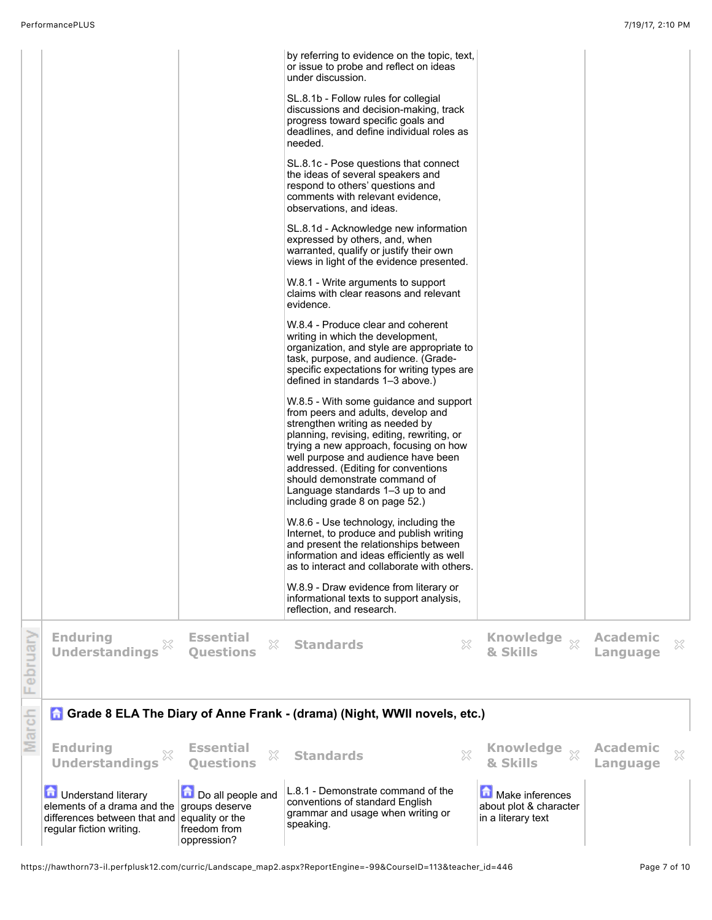|         | <b>Th</b> Understand literary<br>elements of a drama and the<br>differences between that and<br>regular fiction writing. | Do all people and<br>groups deserve<br>equality or the<br>freedom from<br>oppression? | L.8.1 - Demonstrate command of the<br>conventions of standard English<br>grammar and usage when writing or<br>speaking.                                                                                                                                                                                                                                                                      | Make inferences<br>about plot & character<br>in a literary text |                             |   |
|---------|--------------------------------------------------------------------------------------------------------------------------|---------------------------------------------------------------------------------------|----------------------------------------------------------------------------------------------------------------------------------------------------------------------------------------------------------------------------------------------------------------------------------------------------------------------------------------------------------------------------------------------|-----------------------------------------------------------------|-----------------------------|---|
| March   | <b>Enduring</b><br>×<br><b>Understandings</b>                                                                            | <b>Essential</b><br>X<br><b>Ouestions</b>                                             | Grade 8 ELA The Diary of Anne Frank - (drama) (Night, WWII novels, etc.)<br>X<br><b>Standards</b>                                                                                                                                                                                                                                                                                            | & Skills                                                        | <b>Academic</b><br>Language | × |
| ebruary | <b>Enduring</b><br>$\boldsymbol{\mathbb{X}}$<br><b>Understandings</b>                                                    | <b>Essential</b><br>X<br><b>Ouestions</b>                                             | $\chi$<br><b>Standards</b>                                                                                                                                                                                                                                                                                                                                                                   | Knowledge xx<br>& Skills                                        | <b>Academic</b><br>Language | X |
|         |                                                                                                                          |                                                                                       | W.8.9 - Draw evidence from literary or<br>informational texts to support analysis,<br>reflection, and research.                                                                                                                                                                                                                                                                              |                                                                 |                             |   |
|         |                                                                                                                          |                                                                                       | W.8.6 - Use technology, including the<br>Internet, to produce and publish writing<br>and present the relationships between<br>information and ideas efficiently as well<br>as to interact and collaborate with others.                                                                                                                                                                       |                                                                 |                             |   |
|         |                                                                                                                          |                                                                                       | W.8.5 - With some guidance and support<br>from peers and adults, develop and<br>strengthen writing as needed by<br>planning, revising, editing, rewriting, or<br>trying a new approach, focusing on how<br>well purpose and audience have been<br>addressed. (Editing for conventions<br>should demonstrate command of<br>Language standards 1-3 up to and<br>including grade 8 on page 52.) |                                                                 |                             |   |
|         |                                                                                                                          |                                                                                       | W.8.4 - Produce clear and coherent<br>writing in which the development,<br>organization, and style are appropriate to<br>task, purpose, and audience. (Grade-<br>specific expectations for writing types are<br>defined in standards 1-3 above.)                                                                                                                                             |                                                                 |                             |   |
|         |                                                                                                                          |                                                                                       | views in light of the evidence presented.<br>W.8.1 - Write arguments to support<br>claims with clear reasons and relevant<br>evidence.                                                                                                                                                                                                                                                       |                                                                 |                             |   |
|         |                                                                                                                          |                                                                                       | SL.8.1d - Acknowledge new information<br>expressed by others, and, when<br>warranted, qualify or justify their own                                                                                                                                                                                                                                                                           |                                                                 |                             |   |
|         |                                                                                                                          |                                                                                       | SL.8.1c - Pose questions that connect<br>the ideas of several speakers and<br>respond to others' questions and<br>comments with relevant evidence,<br>observations, and ideas.                                                                                                                                                                                                               |                                                                 |                             |   |
|         |                                                                                                                          |                                                                                       | SL.8.1b - Follow rules for collegial<br>discussions and decision-making, track<br>progress toward specific goals and<br>deadlines, and define individual roles as<br>needed.                                                                                                                                                                                                                 |                                                                 |                             |   |
|         |                                                                                                                          |                                                                                       | by referring to evidence on the topic, text,<br>or issue to probe and reflect on ideas<br>under discussion.                                                                                                                                                                                                                                                                                  |                                                                 |                             |   |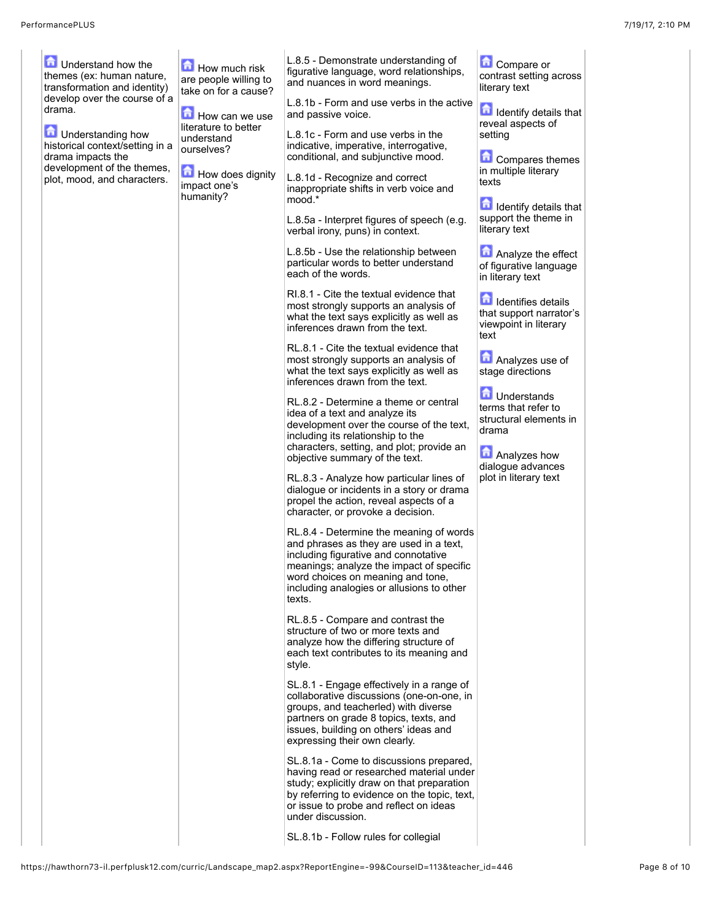| <b>The Understand how the</b><br>themes (ex: human nature,<br>transformation and identity)<br>develop over the course of a<br>drama.<br><b>D</b> Understanding how<br>historical context/setting in a<br>drama impacts the<br>development of the themes,<br>plot, mood, and characters. | How much risk<br>are people willing to<br>take on for a cause?<br>$\blacksquare$ How can we use<br>literature to better<br>understand<br>ourselves?<br>How does dignity<br>impact one's<br>humanity? | L.8.5 - Demonstrate understanding of<br>figurative language, word relationships,<br>and nuances in word meanings.<br>L.8.1b - Form and use verbs in the active<br>and passive voice.<br>L.8.1c - Form and use verbs in the<br>indicative, imperative, interrogative,<br>conditional, and subjunctive mood.<br>L.8.1d - Recognize and correct<br>inappropriate shifts in verb voice and<br>mood.*<br>L.8.5a - Interpret figures of speech (e.g.<br>verbal irony, puns) in context.<br>L.8.5b - Use the relationship between<br>particular words to better understand<br>each of the words.<br>RI.8.1 - Cite the textual evidence that<br>most strongly supports an analysis of<br>what the text says explicitly as well as<br>inferences drawn from the text.<br>RL.8.1 - Cite the textual evidence that<br>most strongly supports an analysis of<br>what the text says explicitly as well as<br>inferences drawn from the text.<br>RL.8.2 - Determine a theme or central<br>idea of a text and analyze its<br>development over the course of the text,<br>including its relationship to the<br>characters, setting, and plot; provide an<br>objective summary of the text.<br>RL.8.3 - Analyze how particular lines of<br>dialogue or incidents in a story or drama<br>propel the action, reveal aspects of a<br>character, or provoke a decision.<br>RL.8.4 - Determine the meaning of words<br>and phrases as they are used in a text,<br>including figurative and connotative<br>meanings; analyze the impact of specific<br>word choices on meaning and tone,<br>including analogies or allusions to other<br>texts.<br>RL.8.5 - Compare and contrast the<br>structure of two or more texts and<br>analyze how the differing structure of<br>each text contributes to its meaning and<br>style.<br>SL.8.1 - Engage effectively in a range of<br>collaborative discussions (one-on-one, in<br>groups, and teacherled) with diverse<br>partners on grade 8 topics, texts, and<br>issues, building on others' ideas and<br>expressing their own clearly.<br>SL.8.1a - Come to discussions prepared,<br>having read or researched material under | Compare or<br>contrast setting across<br>literary text<br><b>n</b> Identify details that<br>reveal aspects of<br>setting<br>Compares themes<br>in multiple literary<br>texts<br><b>In Identify details that</b><br>support the theme in<br>literary text<br>Analyze the effect<br>of figurative language<br>in literary text<br>dentifies details<br>that support narrator's<br>viewpoint in literary<br>text<br>Analyzes use of<br>stage directions<br><b>D</b> Understands<br>terms that refer to<br>structural elements in<br>drama<br><b>Analyzes how</b><br>dialogue advances<br>plot in literary text |  |
|-----------------------------------------------------------------------------------------------------------------------------------------------------------------------------------------------------------------------------------------------------------------------------------------|------------------------------------------------------------------------------------------------------------------------------------------------------------------------------------------------------|--------------------------------------------------------------------------------------------------------------------------------------------------------------------------------------------------------------------------------------------------------------------------------------------------------------------------------------------------------------------------------------------------------------------------------------------------------------------------------------------------------------------------------------------------------------------------------------------------------------------------------------------------------------------------------------------------------------------------------------------------------------------------------------------------------------------------------------------------------------------------------------------------------------------------------------------------------------------------------------------------------------------------------------------------------------------------------------------------------------------------------------------------------------------------------------------------------------------------------------------------------------------------------------------------------------------------------------------------------------------------------------------------------------------------------------------------------------------------------------------------------------------------------------------------------------------------------------------------------------------------------------------------------------------------------------------------------------------------------------------------------------------------------------------------------------------------------------------------------------------------------------------------------------------------------------------------------------------------------------------------------------------------------------------------------------------------------------------------------------------------------------------------|-------------------------------------------------------------------------------------------------------------------------------------------------------------------------------------------------------------------------------------------------------------------------------------------------------------------------------------------------------------------------------------------------------------------------------------------------------------------------------------------------------------------------------------------------------------------------------------------------------------|--|
|                                                                                                                                                                                                                                                                                         |                                                                                                                                                                                                      | study; explicitly draw on that preparation<br>by referring to evidence on the topic, text,<br>or issue to probe and reflect on ideas<br>under discussion.<br>SL.8.1b - Follow rules for collegial                                                                                                                                                                                                                                                                                                                                                                                                                                                                                                                                                                                                                                                                                                                                                                                                                                                                                                                                                                                                                                                                                                                                                                                                                                                                                                                                                                                                                                                                                                                                                                                                                                                                                                                                                                                                                                                                                                                                                |                                                                                                                                                                                                                                                                                                                                                                                                                                                                                                                                                                                                             |  |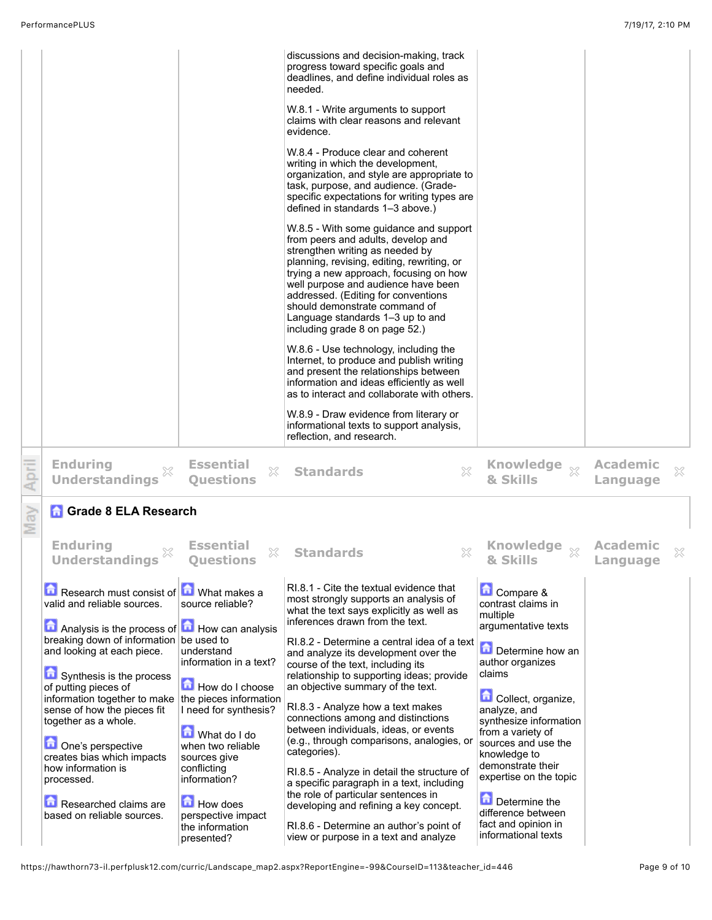|                                                                                                                                                                                                                                                                                                                                                                                                                                               |                                                                                                                                                                                                                                                | discussions and decision-making, track<br>progress toward specific goals and<br>deadlines, and define individual roles as<br>needed.<br>W.8.1 - Write arguments to support<br>claims with clear reasons and relevant<br>evidence.<br>W.8.4 - Produce clear and coherent<br>writing in which the development,<br>organization, and style are appropriate to<br>task, purpose, and audience. (Grade-<br>specific expectations for writing types are<br>defined in standards 1-3 above.)<br>W.8.5 - With some guidance and support<br>from peers and adults, develop and<br>strengthen writing as needed by<br>planning, revising, editing, rewriting, or<br>trying a new approach, focusing on how<br>well purpose and audience have been<br>addressed. (Editing for conventions<br>should demonstrate command of<br>Language standards 1-3 up to and<br>including grade 8 on page 52.)<br>W.8.6 - Use technology, including the<br>Internet, to produce and publish writing<br>and present the relationships between<br>information and ideas efficiently as well<br>as to interact and collaborate with others.<br>W.8.9 - Draw evidence from literary or<br>informational texts to support analysis,<br>reflection, and research. |                                                                                                                                                                                                                                                                                                                                       |                             |   |
|-----------------------------------------------------------------------------------------------------------------------------------------------------------------------------------------------------------------------------------------------------------------------------------------------------------------------------------------------------------------------------------------------------------------------------------------------|------------------------------------------------------------------------------------------------------------------------------------------------------------------------------------------------------------------------------------------------|------------------------------------------------------------------------------------------------------------------------------------------------------------------------------------------------------------------------------------------------------------------------------------------------------------------------------------------------------------------------------------------------------------------------------------------------------------------------------------------------------------------------------------------------------------------------------------------------------------------------------------------------------------------------------------------------------------------------------------------------------------------------------------------------------------------------------------------------------------------------------------------------------------------------------------------------------------------------------------------------------------------------------------------------------------------------------------------------------------------------------------------------------------------------------------------------------------------------------------|---------------------------------------------------------------------------------------------------------------------------------------------------------------------------------------------------------------------------------------------------------------------------------------------------------------------------------------|-----------------------------|---|
| <b>Enduring</b><br><b>Understandings</b>                                                                                                                                                                                                                                                                                                                                                                                                      | <b>Essential</b><br>X<br><b>Questions</b>                                                                                                                                                                                                      | ×<br><b>Standards</b>                                                                                                                                                                                                                                                                                                                                                                                                                                                                                                                                                                                                                                                                                                                                                                                                                                                                                                                                                                                                                                                                                                                                                                                                              | Knowledge xx<br>& Skills                                                                                                                                                                                                                                                                                                              | <b>Academic</b><br>Language | X |
| <b>A</b> Grade 8 ELA Research                                                                                                                                                                                                                                                                                                                                                                                                                 |                                                                                                                                                                                                                                                |                                                                                                                                                                                                                                                                                                                                                                                                                                                                                                                                                                                                                                                                                                                                                                                                                                                                                                                                                                                                                                                                                                                                                                                                                                    |                                                                                                                                                                                                                                                                                                                                       |                             |   |
| <b>Enduring</b><br><b>Understandings</b>                                                                                                                                                                                                                                                                                                                                                                                                      | <b>Essential</b><br><b>Questions</b>                                                                                                                                                                                                           | X<br><b>Standards</b>                                                                                                                                                                                                                                                                                                                                                                                                                                                                                                                                                                                                                                                                                                                                                                                                                                                                                                                                                                                                                                                                                                                                                                                                              | <b>Knowledge</b><br>$\chi$<br>& SKIIIS                                                                                                                                                                                                                                                                                                | <b>Academic</b><br>Language |   |
| Research must consist of <b>n</b> What makes a<br>valid and reliable sources.                                                                                                                                                                                                                                                                                                                                                                 | source reliable?                                                                                                                                                                                                                               | RI.8.1 - Cite the textual evidence that<br>most strongly supports an analysis of<br>what the text says explicitly as well as<br>inferences drawn from the text.                                                                                                                                                                                                                                                                                                                                                                                                                                                                                                                                                                                                                                                                                                                                                                                                                                                                                                                                                                                                                                                                    | Compare &<br>contrast claims in<br>multiple                                                                                                                                                                                                                                                                                           |                             |   |
| Analysis is the process of <b>A</b> How can analysis<br>breaking down of information be used to<br>and looking at each piece.<br>Synthesis is the process<br>of putting pieces of<br>information together to make the pieces information<br>sense of how the pieces fit<br>together as a whole.<br>One's perspective<br>creates bias which impacts<br>how information is<br>processed.<br>Researched claims are<br>based on reliable sources. | understand<br>information in a text?<br>How do I choose<br>I need for synthesis?<br>What do I do<br>when two reliable<br>sources give<br>conflicting<br>information?<br><b>How does</b><br>perspective impact<br>the information<br>presented? | RI.8.2 - Determine a central idea of a text<br>and analyze its development over the<br>course of the text, including its<br>relationship to supporting ideas; provide<br>an objective summary of the text.<br>RI.8.3 - Analyze how a text makes<br>connections among and distinctions<br>between individuals, ideas, or events<br>(e.g., through comparisons, analogies, or<br>categories).<br>RI.8.5 - Analyze in detail the structure of<br>a specific paragraph in a text, including<br>the role of particular sentences in<br>developing and refining a key concept.<br>RI.8.6 - Determine an author's point of<br>view or purpose in a text and analyze                                                                                                                                                                                                                                                                                                                                                                                                                                                                                                                                                                       | argumentative texts<br>Determine how an<br>author organizes<br>claims<br>Collect, organize,<br>analyze, and<br>synthesize information<br>from a variety of<br>sources and use the<br>knowledge to<br>demonstrate their<br>expertise on the topic<br>Determine the<br>difference between<br>fact and opinion in<br>informational texts |                             |   |